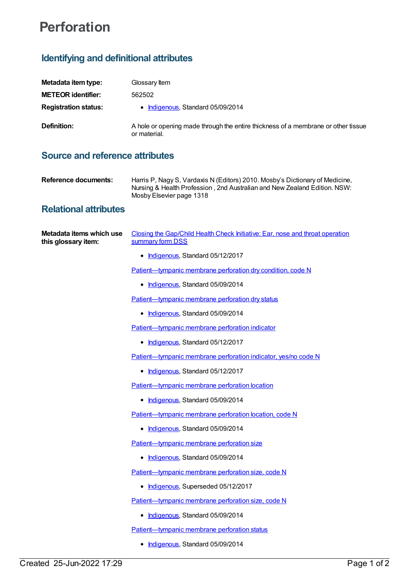## **Perforation**

## **Identifying and definitional attributes**

| Metadata item type:         | Glossary Item                                                                                     |
|-----------------------------|---------------------------------------------------------------------------------------------------|
| <b>METEOR identifier:</b>   | 562502                                                                                            |
| <b>Registration status:</b> | • Indigenous, Standard 05/09/2014                                                                 |
| Definition:                 | A hole or opening made through the entire thickness of a membrane or other tissue<br>or material. |

## **Source and reference attributes**

| Harris P, Nagy S, Vardaxis N (Editors) 2010. Mosby's Dictionary of Medicine,<br>Nursing & Health Profession, 2nd Australian and New Zealand Edition. NSW:<br>Mosby Elsevier page 1318 |
|---------------------------------------------------------------------------------------------------------------------------------------------------------------------------------------|
|                                                                                                                                                                                       |
|                                                                                                                                                                                       |

## **Relational attributes**

| Metadata items which use<br>this glossary item: | Closing the Gap/Child Health Check Initiative: Ear, nose and throat operation<br>summary form DSS |
|-------------------------------------------------|---------------------------------------------------------------------------------------------------|
|                                                 | • Indigenous, Standard 05/12/2017                                                                 |
|                                                 | Patient-tympanic membrane perforation dry condition, code N                                       |
|                                                 | • Indigenous, Standard 05/09/2014                                                                 |
|                                                 | Patient-tympanic membrane perforation dry status                                                  |
|                                                 | • Indigenous, Standard 05/09/2014                                                                 |
|                                                 | Patient-tympanic membrane perforation indicator                                                   |
|                                                 | • Indigenous, Standard 05/12/2017                                                                 |
|                                                 | Patient-tympanic membrane perforation indicator, yes/no code N                                    |
|                                                 | • Indigenous, Standard 05/12/2017                                                                 |
|                                                 | Patient-tympanic membrane perforation location                                                    |
|                                                 | • Indigenous, Standard 05/09/2014                                                                 |
|                                                 | Patient-tympanic membrane perforation location, code N                                            |
|                                                 | • Indigenous, Standard 05/09/2014                                                                 |
|                                                 | Patient-tympanic membrane perforation size                                                        |
|                                                 | • Indigenous, Standard 05/09/2014                                                                 |
|                                                 | Patient-tympanic membrane perforation size, code N                                                |
|                                                 | • Indigenous, Superseded 05/12/2017                                                               |
|                                                 | Patient-tympanic membrane perforation size, code N                                                |
|                                                 | • Indigenous, Standard 05/09/2014                                                                 |
|                                                 | Patient-tympanic membrane perforation status                                                      |
|                                                 | • Indigenous, Standard 05/09/2014                                                                 |